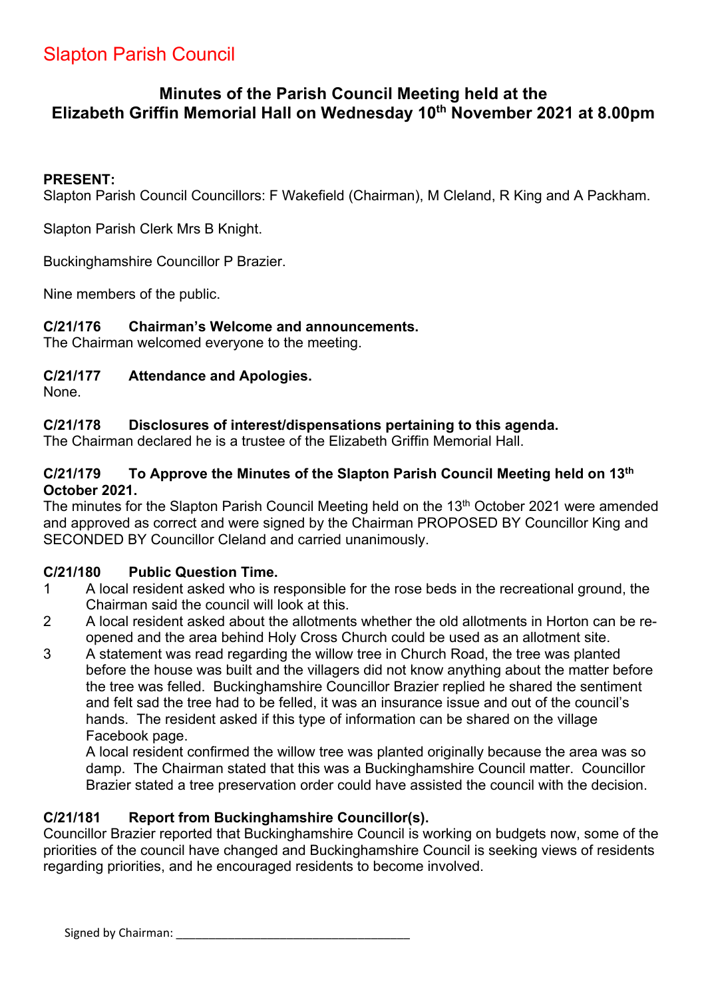# Slapton Parish Council

# **Minutes of the Parish Council Meeting held at the Elizabeth Griffin Memorial Hall on Wednesday 10th November 2021 at 8.00pm**

### **PRESENT:**

Slapton Parish Council Councillors: F Wakefield (Chairman), M Cleland, R King and A Packham.

Slapton Parish Clerk Mrs B Knight.

Buckinghamshire Councillor P Brazier.

Nine members of the public.

### **C/21/176 Chairman's Welcome and announcements.**

The Chairman welcomed everyone to the meeting.

### **C/21/177 Attendance and Apologies.**

None.

### **C/21/178 Disclosures of interest/dispensations pertaining to this agenda.**

The Chairman declared he is a trustee of the Elizabeth Griffin Memorial Hall.

### **C/21/179 To Approve the Minutes of the Slapton Parish Council Meeting held on 13th October 2021.**

The minutes for the Slapton Parish Council Meeting held on the 13<sup>th</sup> October 2021 were amended and approved as correct and were signed by the Chairman PROPOSED BY Councillor King and SECONDED BY Councillor Cleland and carried unanimously.

### **C/21/180 Public Question Time.**

- 1 A local resident asked who is responsible for the rose beds in the recreational ground, the Chairman said the council will look at this.
- 2 A local resident asked about the allotments whether the old allotments in Horton can be reopened and the area behind Holy Cross Church could be used as an allotment site.
- 3 A statement was read regarding the willow tree in Church Road, the tree was planted before the house was built and the villagers did not know anything about the matter before the tree was felled. Buckinghamshire Councillor Brazier replied he shared the sentiment and felt sad the tree had to be felled, it was an insurance issue and out of the council's hands. The resident asked if this type of information can be shared on the village Facebook page.

A local resident confirmed the willow tree was planted originally because the area was so damp. The Chairman stated that this was a Buckinghamshire Council matter. Councillor Brazier stated a tree preservation order could have assisted the council with the decision.

### **C/21/181 Report from Buckinghamshire Councillor(s).**

Councillor Brazier reported that Buckinghamshire Council is working on budgets now, some of the priorities of the council have changed and Buckinghamshire Council is seeking views of residents regarding priorities, and he encouraged residents to become involved.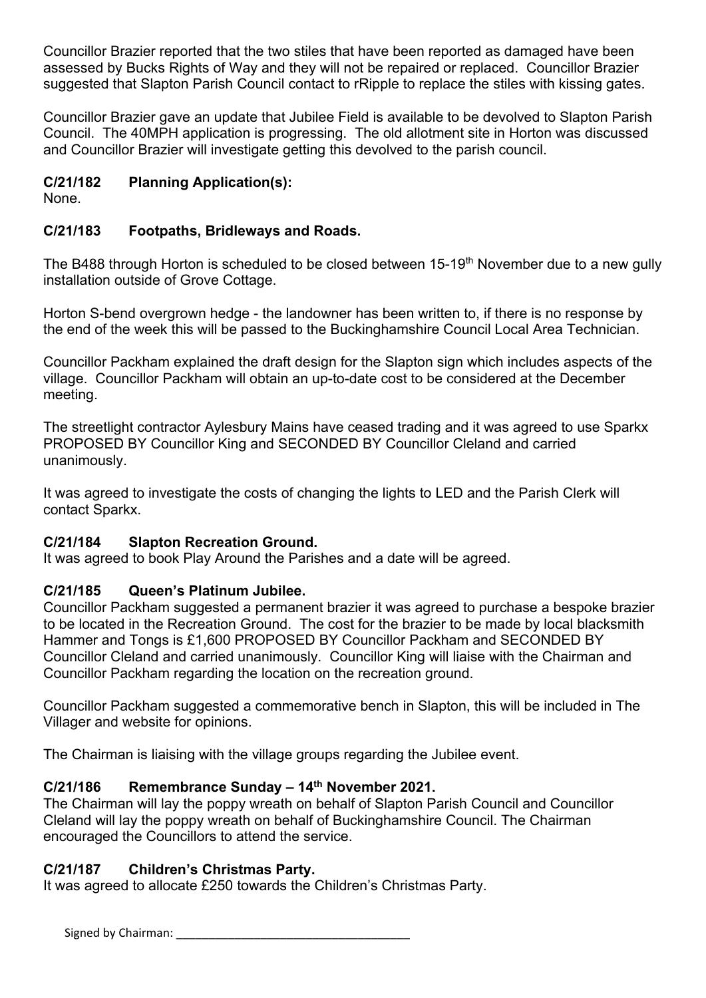Councillor Brazier reported that the two stiles that have been reported as damaged have been assessed by Bucks Rights of Way and they will not be repaired or replaced. Councillor Brazier suggested that Slapton Parish Council contact to rRipple to replace the stiles with kissing gates.

Councillor Brazier gave an update that Jubilee Field is available to be devolved to Slapton Parish Council. The 40MPH application is progressing. The old allotment site in Horton was discussed and Councillor Brazier will investigate getting this devolved to the parish council.

# **C/21/182 Planning Application(s):**

None.

# **C/21/183 Footpaths, Bridleways and Roads.**

The B488 through Horton is scheduled to be closed between 15-19<sup>th</sup> November due to a new gully installation outside of Grove Cottage.

Horton S-bend overgrown hedge - the landowner has been written to, if there is no response by the end of the week this will be passed to the Buckinghamshire Council Local Area Technician.

Councillor Packham explained the draft design for the Slapton sign which includes aspects of the village. Councillor Packham will obtain an up-to-date cost to be considered at the December meeting.

The streetlight contractor Aylesbury Mains have ceased trading and it was agreed to use Sparkx PROPOSED BY Councillor King and SECONDED BY Councillor Cleland and carried unanimously.

It was agreed to investigate the costs of changing the lights to LED and the Parish Clerk will contact Sparkx.

## **C/21/184 Slapton Recreation Ground.**

It was agreed to book Play Around the Parishes and a date will be agreed.

# **C/21/185 Queen's Platinum Jubilee.**

Councillor Packham suggested a permanent brazier it was agreed to purchase a bespoke brazier to be located in the Recreation Ground. The cost for the brazier to be made by local blacksmith Hammer and Tongs is £1,600 PROPOSED BY Councillor Packham and SECONDED BY Councillor Cleland and carried unanimously. Councillor King will liaise with the Chairman and Councillor Packham regarding the location on the recreation ground.

Councillor Packham suggested a commemorative bench in Slapton, this will be included in The Villager and website for opinions.

The Chairman is liaising with the village groups regarding the Jubilee event.

# **C/21/186 Remembrance Sunday – 14th November 2021.**

The Chairman will lay the poppy wreath on behalf of Slapton Parish Council and Councillor Cleland will lay the poppy wreath on behalf of Buckinghamshire Council. The Chairman encouraged the Councillors to attend the service.

## **C/21/187 Children's Christmas Party.**

It was agreed to allocate £250 towards the Children's Christmas Party.

Signed by Chairman: